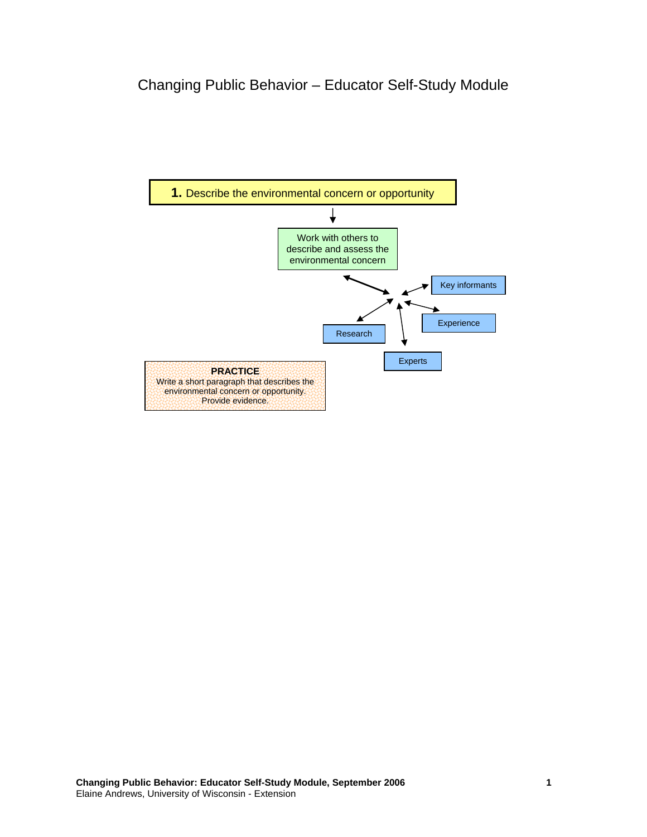## Changing Public Behavior – Educator Self-Study Module

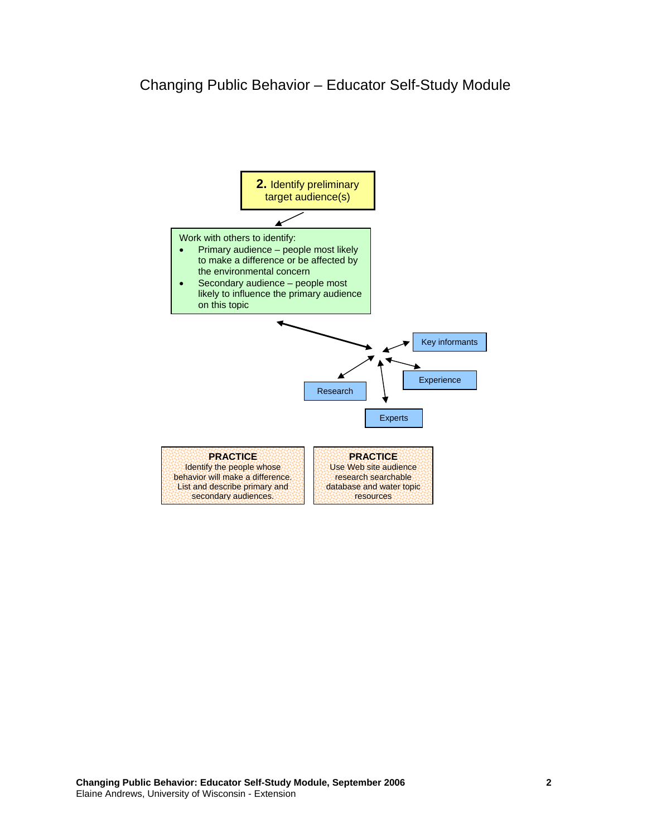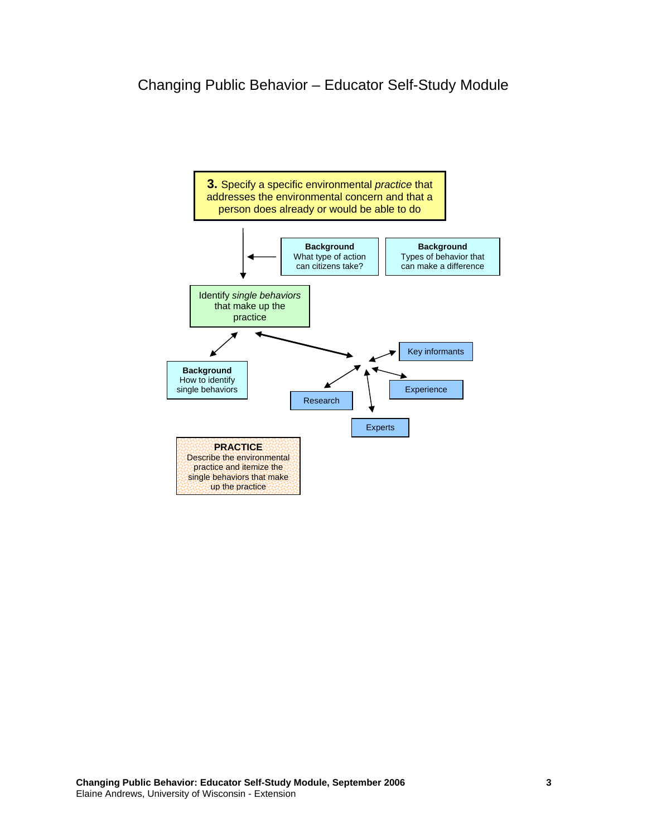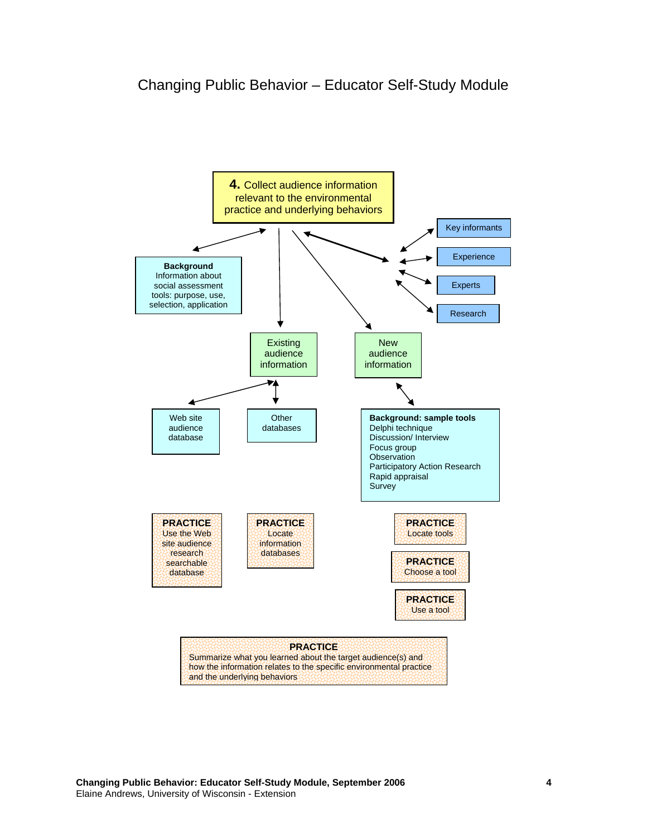

**Changing Public Behavior: Educator Self-Study Module, September 2006 4**  Elaine Andrews, University of Wisconsin - Extension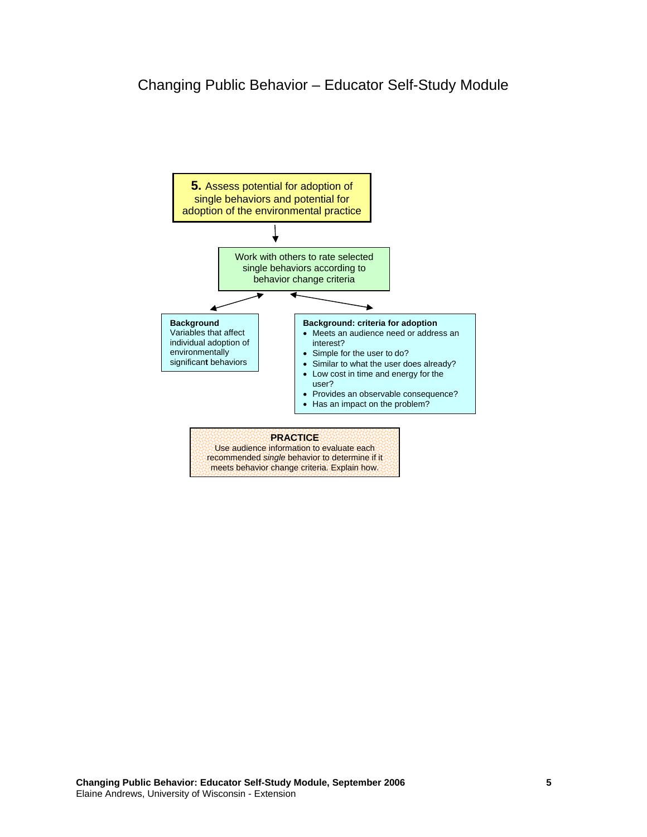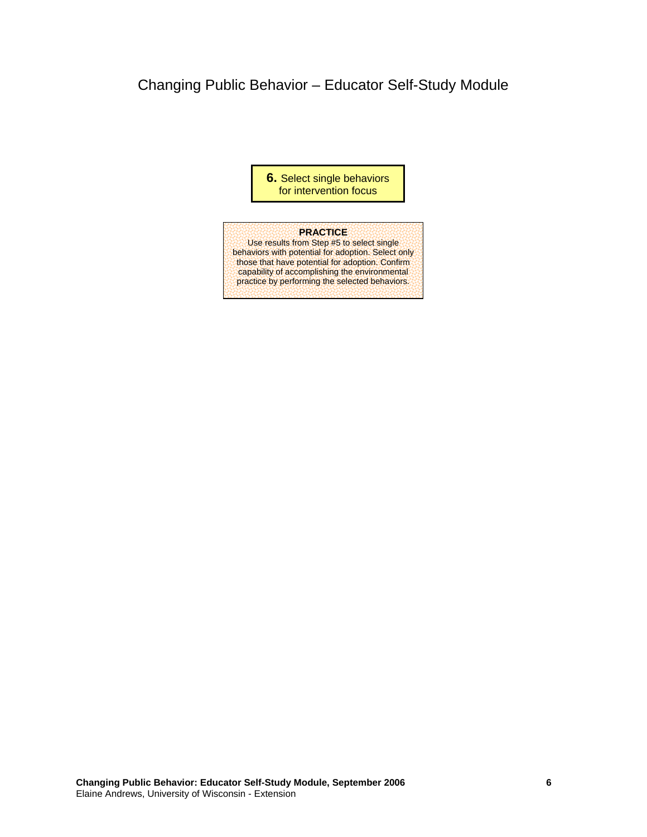## Changing Public Behavior – Educator Self-Study Module

**6.** Select single behaviors for intervention focus

## **PRACTICE**

Use results from Step #5 to select single behaviors with potential for adoption. Select only those that have potential for adoption. Confirm capability of accomplishing the environmental practice by performing the selected behaviors.